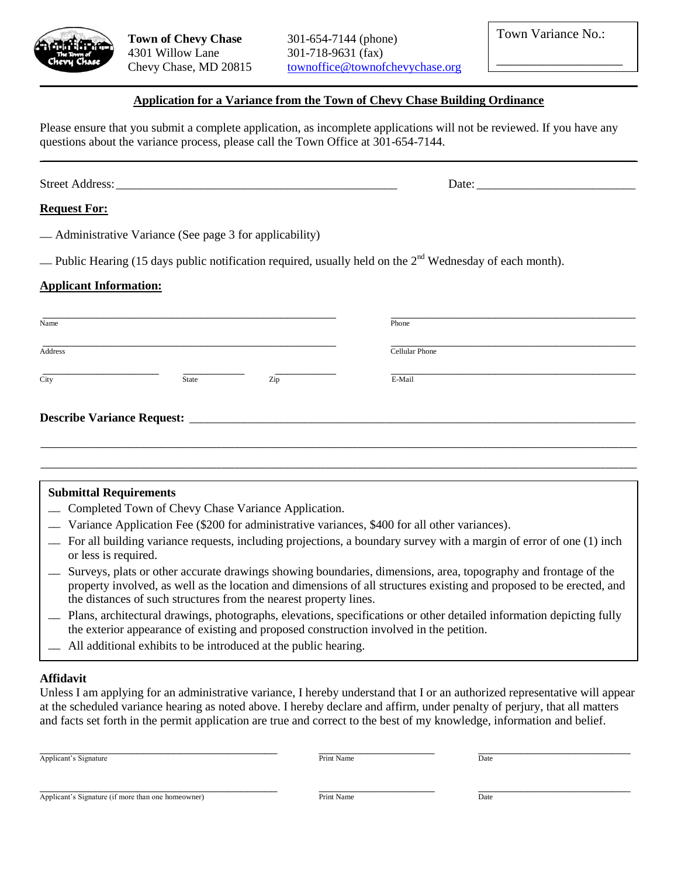

**Town of Chevy Chase** 301-654-7144 (phone) 4301 Willow Lane 301-718-9631 (fax)

Chevy Chase, MD 20815 [townoffice@townofchevychase.org](mailto:townoffice@townofchevychase.org)

\_\_\_\_\_\_\_\_\_\_\_\_\_\_\_\_\_\_\_

# $\mathcal{L}_\mathcal{L} = \mathcal{L}_\mathcal{L} = \mathcal{L}_\mathcal{L} = \mathcal{L}_\mathcal{L} = \mathcal{L}_\mathcal{L} = \mathcal{L}_\mathcal{L} = \mathcal{L}_\mathcal{L} = \mathcal{L}_\mathcal{L} = \mathcal{L}_\mathcal{L} = \mathcal{L}_\mathcal{L} = \mathcal{L}_\mathcal{L} = \mathcal{L}_\mathcal{L} = \mathcal{L}_\mathcal{L} = \mathcal{L}_\mathcal{L} = \mathcal{L}_\mathcal{L} = \mathcal{L}_\mathcal{L} = \mathcal{L}_\mathcal{L}$ **Application for a Variance from the Town of Chevy Chase Building Ordinance**

Please ensure that you submit a complete application, as incomplete applications will not be reviewed. If you have any questions about the variance process, please call the Town Office at 301-654-7144.

 $\mathcal{L}_\mathcal{L} = \mathcal{L}_\mathcal{L} = \mathcal{L}_\mathcal{L} = \mathcal{L}_\mathcal{L} = \mathcal{L}_\mathcal{L} = \mathcal{L}_\mathcal{L} = \mathcal{L}_\mathcal{L} = \mathcal{L}_\mathcal{L} = \mathcal{L}_\mathcal{L} = \mathcal{L}_\mathcal{L} = \mathcal{L}_\mathcal{L} = \mathcal{L}_\mathcal{L} = \mathcal{L}_\mathcal{L} = \mathcal{L}_\mathcal{L} = \mathcal{L}_\mathcal{L} = \mathcal{L}_\mathcal{L} = \mathcal{L}_\mathcal{L}$ 

Street Address:\_\_\_\_\_\_\_\_\_\_\_\_\_\_\_\_\_\_\_\_\_\_\_\_\_\_\_\_\_\_\_\_\_\_\_\_\_\_\_\_\_\_\_\_\_\_ Date: \_\_\_\_\_\_\_\_\_\_\_\_\_\_\_\_\_\_\_\_\_\_\_\_\_\_

### **Request For:**

\_\_ Administrative Variance (See page 3 for applicability)

 $\Box$  Public Hearing (15 days public notification required, usually held on the 2<sup>nd</sup> Wednesday of each month).

### **Applicant Information:**

| Name                              | Phone          |  |
|-----------------------------------|----------------|--|
| Address                           | Cellular Phone |  |
| State<br>$\overline{City}$<br>Zip | E-Mail         |  |
| <b>Describe Variance Request:</b> |                |  |
|                                   |                |  |

## **Submittal Requirements**

- \_\_ Completed Town of Chevy Chase Variance Application.
- \_\_ Variance Application Fee (\$200 for administrative variances, \$400 for all other variances).
- \_\_ For all building variance requests, including projections, a boundary survey with a margin of error of one (1) inch or less is required.
- \_\_ Surveys, plats or other accurate drawings showing boundaries, dimensions, area, topography and frontage of the property involved, as well as the location and dimensions of all structures existing and proposed to be erected, and the distances of such structures from the nearest property lines.
- \_\_ Plans, architectural drawings, photographs, elevations, specifications or other detailed information depicting fully the exterior appearance of existing and proposed construction involved in the petition.
- \_\_ All additional exhibits to be introduced at the public hearing.

#### **Affidavit**

Unless I am applying for an administrative variance, I hereby understand that I or an authorized representative will appear at the scheduled variance hearing as noted above. I hereby declare and affirm, under penalty of perjury, that all matters and facts set forth in the permit application are true and correct to the best of my knowledge, information and belief.

| Applicant<br>Signature<br>. . | Name<br>TINE | Date |
|-------------------------------|--------------|------|

\_\_\_\_\_\_\_\_\_\_\_\_\_\_\_\_\_\_\_\_\_\_\_\_\_\_\_\_\_\_\_\_\_\_\_\_\_\_\_ \_\_\_\_\_\_\_\_\_\_\_\_\_\_\_\_\_\_\_ \_\_\_\_\_\_\_\_\_\_\_\_\_\_\_\_\_\_\_\_\_\_\_\_\_

Applicant's Signature (if more than one homeowner) **Print Name** Print Name **Date**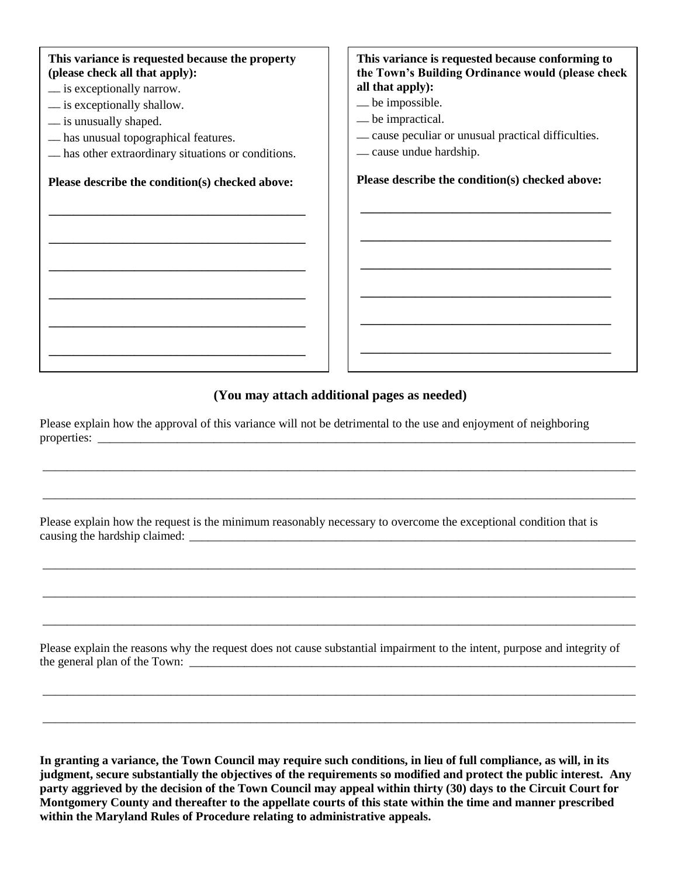**This variance is requested because the property (please check all that apply):** \_\_ is exceptionally narrow. \_\_ is exceptionally shallow. \_\_ is unusually shaped. \_\_ has unusual topographical features. \_\_ has other extraordinary situations or conditions. **Please describe the condition(s) checked above: \_\_\_\_\_\_\_\_\_\_\_\_\_\_\_\_\_\_\_\_\_\_\_\_\_\_\_\_\_\_\_\_\_\_\_\_\_\_\_\_\_\_ \_\_\_\_\_\_\_\_\_\_\_\_\_\_\_\_\_\_\_\_\_\_\_\_\_\_\_\_\_\_\_\_\_\_\_\_\_\_\_\_\_\_ \_\_\_\_\_\_\_\_\_\_\_\_\_\_\_\_\_\_\_\_\_\_\_\_\_\_\_\_\_\_\_\_\_\_\_\_\_\_\_\_\_\_ \_\_\_\_\_\_\_\_\_\_\_\_\_\_\_\_\_\_\_\_\_\_\_\_\_\_\_\_\_\_\_\_\_\_\_\_\_\_\_\_\_\_ \_\_\_\_\_\_\_\_\_\_\_\_\_\_\_\_\_\_\_\_\_\_\_\_\_\_\_\_\_\_\_\_\_\_\_\_\_\_\_\_\_\_ \_\_\_\_\_\_\_\_\_\_\_\_\_\_\_\_\_\_\_\_\_\_\_\_\_\_\_\_\_\_\_\_\_\_\_\_\_\_\_\_\_\_ This variance is requested because conforming to the Town's Building Ordinance would (please check all that apply):** \_\_ be impossible. \_\_ be impractical. \_\_ cause peculiar or unusual practical difficulties. \_\_ cause undue hardship. **Please describe the condition(s) checked above: \_\_\_\_\_\_\_\_\_\_\_\_\_\_\_\_\_\_\_\_\_\_\_\_\_\_\_\_\_\_\_\_\_\_\_\_\_\_\_\_\_ \_\_\_\_\_\_\_\_\_\_\_\_\_\_\_\_\_\_\_\_\_\_\_\_\_\_\_\_\_\_\_\_\_\_\_\_\_\_\_\_\_ \_\_\_\_\_\_\_\_\_\_\_\_\_\_\_\_\_\_\_\_\_\_\_\_\_\_\_\_\_\_\_\_\_\_\_\_\_\_\_\_\_ \_\_\_\_\_\_\_\_\_\_\_\_\_\_\_\_\_\_\_\_\_\_\_\_\_\_\_\_\_\_\_\_\_\_\_\_\_\_\_\_\_ \_\_\_\_\_\_\_\_\_\_\_\_\_\_\_\_\_\_\_\_\_\_\_\_\_\_\_\_\_\_\_\_\_\_\_\_\_\_\_\_\_ \_\_\_\_\_\_\_\_\_\_\_\_\_\_\_\_\_\_\_\_\_\_\_\_\_\_\_\_\_\_\_\_\_\_\_\_\_\_\_\_\_**

## **(You may attach additional pages as needed)**

\_\_\_\_\_\_\_\_\_\_\_\_\_\_\_\_\_\_\_\_\_\_\_\_\_\_\_\_\_\_\_\_\_\_\_\_\_\_\_\_\_\_\_\_\_\_\_\_\_\_\_\_\_\_\_\_\_\_\_\_\_\_\_\_\_\_\_\_\_\_\_\_\_\_\_\_\_\_\_\_\_\_\_\_\_\_\_\_\_\_\_\_\_\_\_\_\_

\_\_\_\_\_\_\_\_\_\_\_\_\_\_\_\_\_\_\_\_\_\_\_\_\_\_\_\_\_\_\_\_\_\_\_\_\_\_\_\_\_\_\_\_\_\_\_\_\_\_\_\_\_\_\_\_\_\_\_\_\_\_\_\_\_\_\_\_\_\_\_\_\_\_\_\_\_\_\_\_\_\_\_\_\_\_\_\_\_\_\_\_\_\_\_\_\_

\_\_\_\_\_\_\_\_\_\_\_\_\_\_\_\_\_\_\_\_\_\_\_\_\_\_\_\_\_\_\_\_\_\_\_\_\_\_\_\_\_\_\_\_\_\_\_\_\_\_\_\_\_\_\_\_\_\_\_\_\_\_\_\_\_\_\_\_\_\_\_\_\_\_\_\_\_\_\_\_\_\_\_\_\_\_\_\_\_\_\_\_\_\_\_\_\_

\_\_\_\_\_\_\_\_\_\_\_\_\_\_\_\_\_\_\_\_\_\_\_\_\_\_\_\_\_\_\_\_\_\_\_\_\_\_\_\_\_\_\_\_\_\_\_\_\_\_\_\_\_\_\_\_\_\_\_\_\_\_\_\_\_\_\_\_\_\_\_\_\_\_\_\_\_\_\_\_\_\_\_\_\_\_\_\_\_\_\_\_\_\_\_\_\_

\_\_\_\_\_\_\_\_\_\_\_\_\_\_\_\_\_\_\_\_\_\_\_\_\_\_\_\_\_\_\_\_\_\_\_\_\_\_\_\_\_\_\_\_\_\_\_\_\_\_\_\_\_\_\_\_\_\_\_\_\_\_\_\_\_\_\_\_\_\_\_\_\_\_\_\_\_\_\_\_\_\_\_\_\_\_\_\_\_\_\_\_\_\_\_\_\_

\_\_\_\_\_\_\_\_\_\_\_\_\_\_\_\_\_\_\_\_\_\_\_\_\_\_\_\_\_\_\_\_\_\_\_\_\_\_\_\_\_\_\_\_\_\_\_\_\_\_\_\_\_\_\_\_\_\_\_\_\_\_\_\_\_\_\_\_\_\_\_\_\_\_\_\_\_\_\_\_\_\_\_\_\_\_\_\_\_\_\_\_\_\_\_\_\_

\_\_\_\_\_\_\_\_\_\_\_\_\_\_\_\_\_\_\_\_\_\_\_\_\_\_\_\_\_\_\_\_\_\_\_\_\_\_\_\_\_\_\_\_\_\_\_\_\_\_\_\_\_\_\_\_\_\_\_\_\_\_\_\_\_\_\_\_\_\_\_\_\_\_\_\_\_\_\_\_\_\_\_\_\_\_\_\_\_\_\_\_\_\_\_\_\_

Please explain how the approval of this variance will not be detrimental to the use and enjoyment of neighboring properties:

Please explain how the request is the minimum reasonably necessary to overcome the exceptional condition that is causing the hardship claimed:

Please explain the reasons why the request does not cause substantial impairment to the intent, purpose and integrity of the general plan of the Town: \_\_\_\_\_\_\_\_\_\_\_\_\_\_\_\_\_\_\_\_\_\_\_\_\_\_\_\_\_\_\_\_\_\_\_\_\_\_\_\_\_\_\_\_\_\_\_\_\_\_\_\_\_\_\_\_\_\_\_\_\_\_\_\_\_\_\_\_\_\_\_\_\_

**In granting a variance, the Town Council may require such conditions, in lieu of full compliance, as will, in its judgment, secure substantially the objectives of the requirements so modified and protect the public interest. Any party aggrieved by the decision of the Town Council may appeal within thirty (30) days to the Circuit Court for Montgomery County and thereafter to the appellate courts of this state within the time and manner prescribed within the Maryland Rules of Procedure relating to administrative appeals.**